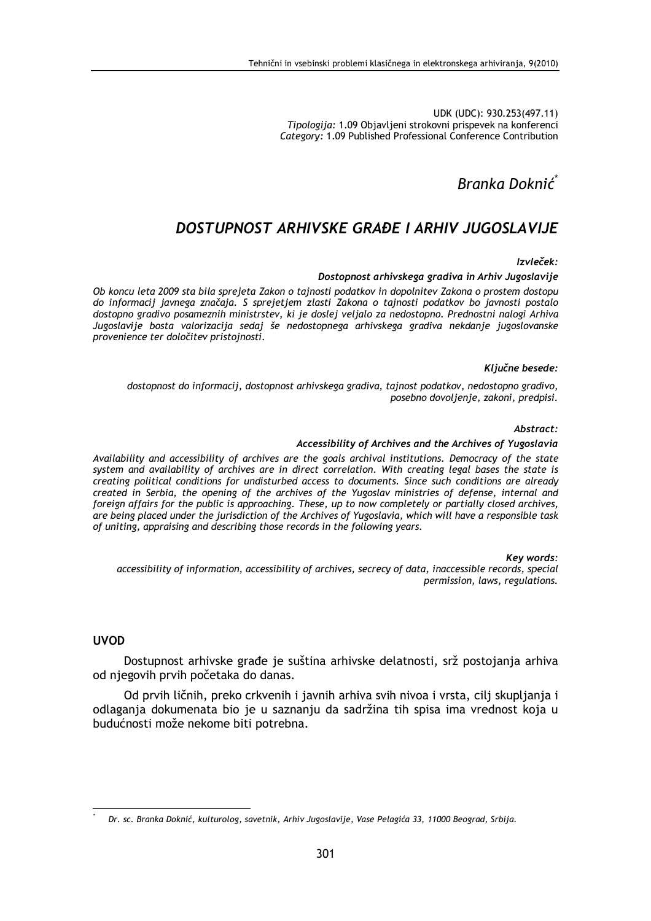UDK (UDC): 930.253(497.11) Tipologija: 1.09 Objavljeni strokovni prispevek na konferenci Category: 1.09 Published Professional Conference Contribution

Branka Doknić<sup>\*</sup>

# DOSTUPNOST ARHIVSKE GRAĐE I ARHIV JUGOSLAVIJE

 $Izvleček:$ 

### Dostopnost arhivskega gradiva in Arhiv Jugoslavije

Ob koncu leta 2009 sta bila sprejeta Zakon o tajnosti podatkov in dopolnitev Zakona o prostem dostopu do informacij javnega značaja. S sprejetjem zlasti Zakona o tajnosti podatkov bo javnosti postalo dostopno gradivo posameznih ministrstev, ki je doslej veljalo za nedostopno. Prednostni nalogi Arhiva Jugoslavije bosta valorizacija sedaj še nedostopnega arhivskega gradiva nekdanje jugoslovanske provenience ter določitev pristojnosti.

#### Kliučne besede:

dostopnost do informacij, dostopnost arhivskega gradiva, tajnost podatkov, nedostopno gradivo, posebno dovoljenje, zakoni, predpisi.

#### Abstract:

#### Accessibility of Archives and the Archives of Yugoslavia

Availability and accessibility of archives are the goals archival institutions. Democracy of the state system and availability of archives are in direct correlation. With creating legal bases the state is creating political conditions for undisturbed access to documents. Since such conditions are already created in Serbia, the opening of the archives of the Yugoslav ministries of defense, internal and foreign affairs for the public is approaching. These, up to now completely or partially closed archives, are being placed under the jurisdiction of the Archives of Yugoslavia, which will have a responsible task of uniting, appraising and describing those records in the following years.

Key words:

accessibility of information, accessibility of archives, secrecy of data, inaccessible records, special permission, laws, regulations.

## **UVOD**

Dostupnost arhivske građe je suština arhivske delatnosti, srž postojanja arhiva od niegovih prvih početaka do danas.

Od prvih ličnih, preko crkvenih i javnih arhiva svih nivoa i vrsta, cilj skupljanja i odlaganja dokumenata bio je u saznanju da sadržina tih spisa ima vrednost koja u budućnosti može nekome biti potrebna.

Dr. sc. Branka Doknić, kulturolog, savetnik, Arhiv Jugoslavije, Vase Pelagića 33, 11000 Beograd, Srbija.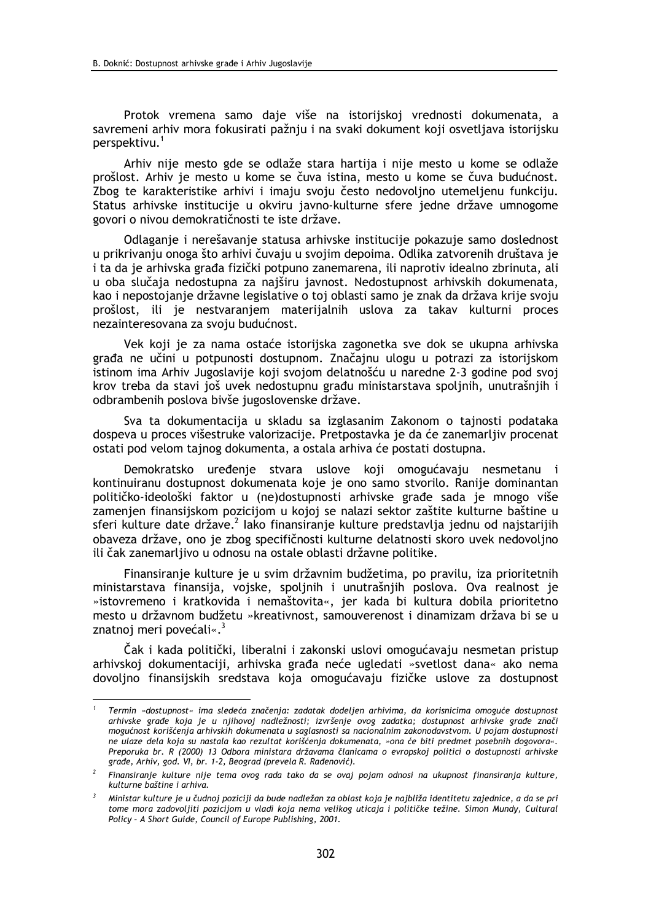Protok vremena samo daje više na istorijskoj vrednosti dokumenata, a savremeni arhiv mora fokusirati pažnju i na svaki dokument koji osvetljava istorijsku perspektivu.<sup>1</sup>

Arhiv nije mesto gde se odlaže stara hartija i nije mesto u kome se odlaže prošlost. Arhiv je mesto u kome se čuva istina, mesto u kome se čuva budućnost. Zbog te karakteristike arhivi i imaju svoju često nedovoljno utemeljenu funkciju. Status arhivske institucije u okviru javno-kulturne sfere jedne države umnogome govori o nivou demokratičnosti te iste države.

Odlaganje i nerešavanje statusa arhivske institucije pokazuje samo doslednost u prikrivanju onoga što arhivi čuvaju u svojim depoima. Odlika zatvorenih društava je i ta da je arhivska građa fizički potpuno zanemarena, ili naprotiv idealno zbrinuta, ali u oba slučaja nedostupna za najširu javnost. Nedostupnost arhivskih dokumenata, kao i nepostojanje državne legislative o toj oblasti samo je znak da država krije svoju prošlost, ili je nestvaranjem materijalnih uslova za takav kulturni proces nezainteresovana za svoju budućnost.

Vek koji je za nama ostaće istorijska zagonetka sve dok se ukupna arhivska građa ne učini u potpunosti dostupnom. Značajnu ulogu u potrazi za istorijskom istinom ima Arhiv Jugoslavije koji svojom delatnošću u naredne 2-3 godine pod svoj krov treba da stavi još uvek nedostupnu građu ministarstava spoljnih, unutrašnjih i odbrambenih poslova bivše jugoslovenske države.

Sva ta dokumentacija u skladu sa izglasanim Zakonom o tajnosti podataka dospeva u proces višestruke valorizacije. Pretpostavka je da će zanemarljiv procenat ostati pod velom tajnog dokumenta, a ostala arhiva će postati dostupna.

Demokratsko uređenje stvara uslove koji omogućavaju nesmetanu i kontinuiranu dostupnost dokumenata koje je ono samo stvorilo. Ranije dominantan političko-ideološki faktor u (ne)dostupnosti arhivske građe sada je mnogo više zamenjen finansijskom pozicijom u kojoj se nalazi sektor zaštite kulturne baštine u sferi kulture date države.<sup>2</sup> lako finansiranie kulture predstavlja jednu od najstarijih obaveza države, ono je zbog specifičnosti kulturne delatnosti skoro uvek nedovoljno ili čak zanemarljivo u odnosu na ostale oblasti državne politike.

Finansiranje kulture je u svim državnim budžetima, po pravilu, iza prioritetnih ministarstava finansija, vojske, spoljnih i unutrašnjih poslova. Ova realnost je »istovremeno i kratkovida i nemaštovita«, jer kada bi kultura dobila prioritetno mesto u državnom budžetu »kreativnost, samouverenost i dinamizam država bi se u znatnoj meri povećali«.<sup>3</sup>

Čak i kada politički, liberalni i zakonski uslovi omogućavaju nesmetan pristup arhivskoj dokumentaciji, arhivska građa neće ugledati »svetlost dana« ako nema dovoljno finansijskih sredstava koja omogućavaju fizičke uslove za dostupnost

Termin »dostupnost« ima sledeća značenja: zadatak dodeljen arhivima, da korisnicima omoguće dostupnost arhivske građe koja je u njihovoj nadležnosti; izvršenje ovog zadatka; dostupnost arhivske građe znači mogućnost korišćenia arhivskih dokumenata u saglasnosti sa nacionalnim zakonodavstvom. U pojam dostupnosti ne ulaze dela koja su nastala kao rezultat korišćenja dokumenata, »ona će biti predmet posebnih dogovora«. Preporuka br. R (2000) 13 Odbora ministara državama članicama o evropskoj politici o dostupnosti arhivske grade, Arhiv, god. VI, br. 1-2, Beograd (prevela R. Rađenović).

Finansiranje kulture nije tema ovog rada tako da se ovaj pojam odnosi na ukupnost finansiranja kulture, kulturne baštine i arhiva.

Ministar kulture je u čudnoj poziciji da bude nadležan za oblast koja je najbliža identitetu zajednice, a da se pri tome mora zadovoljiti pozicijom u vladi koja nema velikog uticaja i političke težine. Simon Mundy, Cultural Policy - A Short Guide, Council of Europe Publishing, 2001.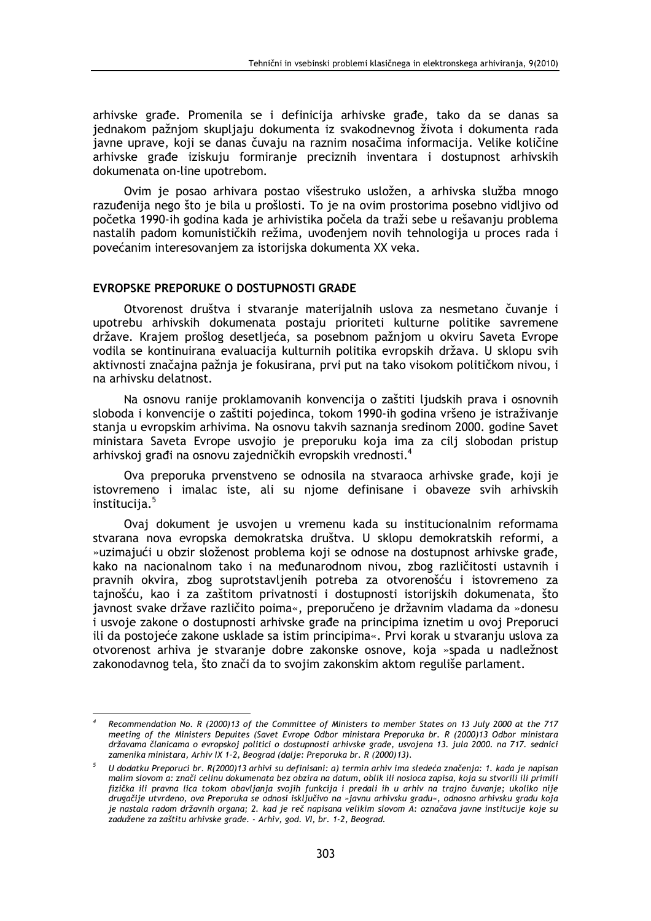arhivske građe. Promenila se i definicija arhivske građe, tako da se danas sa jednakom pažnjom skupljaju dokumenta iz svakodnevnog života i dokumenta rada javne uprave, koji se danas čuvaju na raznim nosačima informacija. Velike količine arhivske građe iziskuju formiranje preciznih inventara i dostupnost arhivskih dokumenata on-line upotrebom.

Ovim je posao arhivara postao višestruko usložen, a arhivska služba mnogo razuđenija nego što je bila u prošlosti. To je na ovim prostorima posebno vidljivo od početka 1990-ih godina kada je arhivistika počela da traži sebe u rešavanju problema nastalih padom komunističkih režima, uvođenjem novih tehnologija u proces rada i povećanim interesovanjem za istorijska dokumenta XX veka.

## **EVROPSKE PREPORUKE O DOSTUPNOSTI GRAĐE**

Otvorenost društva i stvaranje materijalnih uslova za nesmetano čuvanje i upotrebu arhivskih dokumenata postaju prioriteti kulturne politike savremene države. Krajem prošlog desetljeća, sa posebnom pažnjom u okviru Saveta Evrope vodila se kontinuirana evaluacija kulturnih politika evropskih država. U sklopu svih aktivnosti značajna pažnja je fokusirana, prvi put na tako visokom političkom nivou, i na arhivsku delatnost.

Na osnovu ranije proklamovanih konvencija o zaštiti ljudskih prava i osnovnih sloboda i konvencije o zaštiti pojedinca, tokom 1990-ih godina vršeno je istraživanje stanja u evropskim arhivima. Na osnovu takvih saznanja sredinom 2000. godine Savet ministara Saveta Evrope usvojio je preporuku koja ima za cilj slobodan pristup arhivskoj građi na osnovu zajedničkih evropskih vrednosti.<sup>4</sup>

Ova preporuka prvenstveno se odnosila na stvaraoca arhivske građe, koji je istovremeno i imalac iste, ali su njome definisane i obaveze svih arhivskih institucija.<sup>5</sup>

Ovaj dokument je usvojen u vremenu kada su institucionalnim reformama stvarana nova evropska demokratska društva. U sklopu demokratskih reformi, a »uzimajući u obzir složenost problema koji se odnose na dostupnost arhivske građe, kako na nacionalnom tako i na međunarodnom nivou, zbog različitosti ustavnih i pravnih okvira, zbog suprotstavljenih potreba za otvorenošću i istovremeno za tajnošću, kao i za zaštitom privatnosti i dostupnosti istorijskih dokumenata, što javnost svake države različito poima«, preporučeno je državnim vladama da »donesu i usvoje zakone o dostupnosti arhivske građe na principima iznetim u ovoj Preporuci ili da postojeće zakone usklade sa istim principima«. Prvi korak u stvaranju uslova za otvorenost arhiva je stvaranje dobre zakonske osnove, koja »spada u nadležnost zakonodavnog tela, što znači da to svojim zakonskim aktom reguliše parlament.

Recommendation No. R (2000)13 of the Committee of Ministers to member States on 13 July 2000 at the 717 meeting of the Ministers Depuites (Savet Evrope Odbor ministara Preporuka br. R (2000)13 Odbor ministara državama članicama o evropskoj politici o dostupnosti arhivske građe, usvojena 13. jula 2000. na 717. sednici zamenika ministara, Arhiv IX 1-2, Beograd (dalje: Preporuka br. R (2000)13).

<sup>&</sup>lt;sup>5</sup> U dodatku Preporuci br. R(2000)13 arhivi su definisani: a) termin arhiv ima sledeća značenja: 1. kada je napisan malim slovom a: znači celinu dokumenata bez obzira na datum, oblik ili nosioca zapisa, koja su stvorili ili primili fizička ili pravna lica tokom obavljanja svojih funkcija i predali ih u arhiv na trajno čuvanje; ukoliko nije <sup>'</sup>drugačije utvrđeno, ova Preporuka se odnosi isključivo na »javnu arhivsku građu«, odnosno arhivsku građu koja je nastala radom državnih organa; 2. kad je reč napisana velikim slovom A: označava javne institucije koje su zadužene za zaštitu arhivske građe. - Arhiv, god. VI, br. 1-2, Beograd.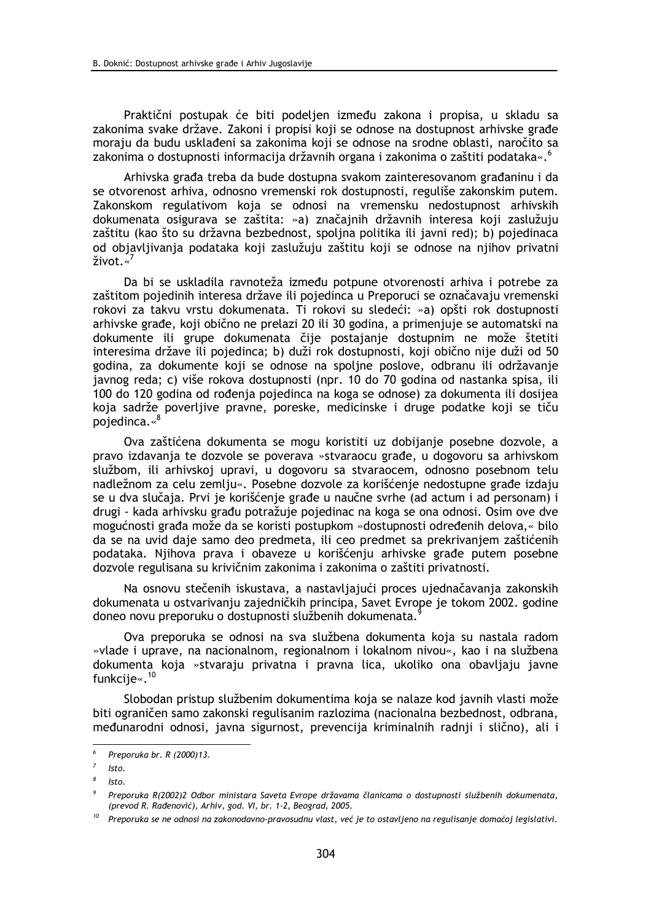Praktični postupak će biti podeljen između zakona i propisa, u skladu sa zakonima svake države. Zakoni i propisi koji se odnose na dostupnost arhivske građe moraju da budu usklađeni sa zakonima koji se odnose na srodne oblasti, naročito sa zakonima o dostupnosti informacija državnih organa i zakonima o zaštiti podataka«.<sup>6</sup>

Arhivska građa treba da bude dostupna svakom zainteresovanom građaninu i da se otvorenost arhiva, odnosno vremenski rok dostupnosti, reguliše zakonskim putem. Zakonskom regulativom koja se odnosi na vremensku nedostupnost arhivskih dokumenata osigurava se zaštita: »a) značajnih državnih interesa koji zaslužuju zaštitu (kao što su državna bezbednost, spoljna politika ili javni red); b) pojedinaca od objavljivanja podataka koji zaslužuju zaštitu koji se odnose na njihov privatni  $\check{z}$ ivot «<sup>7</sup>

Da bi se uskladila ravnoteža između potpune otvorenosti arhiva i potrebe za zaštitom pojedinih interesa države ili pojedinca u Preporuci se označavaju vremenski rokovi za takvu vrstu dokumenata. Ti rokovi su sledeći: »a) opšti rok dostupnosti arhivske građe, koji obično ne prelazi 20 ili 30 godina, a primenjuje se automatski na dokumente ili grupe dokumenata čije postajanje dostupnim ne može štetiti interesima države ili pojedinca; b) duži rok dostupnosti, koji obično nije duži od 50 godina, za dokumente koji se odnose na spoljne poslove, odbranu ili održavanje javnog reda; c) više rokova dostupnosti (npr. 10 do 70 godina od nastanka spisa, ili 100 do 120 godina od rođenja pojedinca na koga se odnose) za dokumenta ili dosijea koja sadrže poverljive pravne, poreske, medicinske i druge podatke koji se tiču pojedinca.«<sup>8</sup>

Ova zaštićena dokumenta se mogu koristiti uz dobijanje posebne dozvole, a pravo izdavanja te dozvole se poverava »stvaraocu građe, u dogovoru sa arhivskom službom, ili arhivskoj upravi, u dogovoru sa stvaraocem, odnosno posebnom telu nadležnom za celu zemlju«. Posebne dozvole za korišćenje nedostupne građe izdaju se u dva slučaja. Prvi je korišćenje građe u naučne svrhe (ad actum i ad personam) i drugi - kada arhivsku građu potražuje pojedinac na koga se ona odnosi. Osim ove dve mogućnosti građa može da se koristi postupkom »dostupnosti određenih delova,« bilo da se na uvid daje samo deo predmeta, ili ceo predmet sa prekrivanjem zaštićenih podataka. Njihova prava i obaveze u korišćenju arhivske građe putem posebne dozvole regulisana su krivičnim zakonima i zakonima o zaštiti privatnosti.

Na osnovu stečenih iskustava, a nastavljajući proces ujednačavanja zakonskih dokumenata u ostvarivanju zajedničkih principa, Savet Evrope je tokom 2002. godine doneo novu preporuku o dostupnosti službenih dokumenata.

Ova preporuka se odnosi na sva službena dokumenta koja su nastala radom »vlade i uprave, na nacionalnom, regionalnom i lokalnom nivou«, kao i na službena dokumenta koja »stvaraju privatna i pravna lica, ukoliko ona obavljaju javne funkcije«.<sup>10</sup>

Slobodan pristup službenim dokumentima koja se nalaze kod javnih vlasti može biti ograničen samo zakonski regulisanim razlozima (nacionalna bezbednost, odbrana, međunarodni odnosi, javna sigurnost, prevencija kriminalnih radnji i slično), ali i

 $\epsilon$ Preporuka br. R (2000)13.

 $\overline{z}$  $I<sub>sto</sub>$ 

Isto.

Preporuka R(2002)2 Odbor ministara Saveta Evrope državama članicama o dostupnosti službenih dokumenata, (prevod R. Rađenović), Arhiv, god. VI, br. 1-2, Beograd, 2005.

Preporuka se ne odnosi na zakonodavno-pravosudnu vlast, već je to ostavljeno na regulisanje domaćoj legislativi.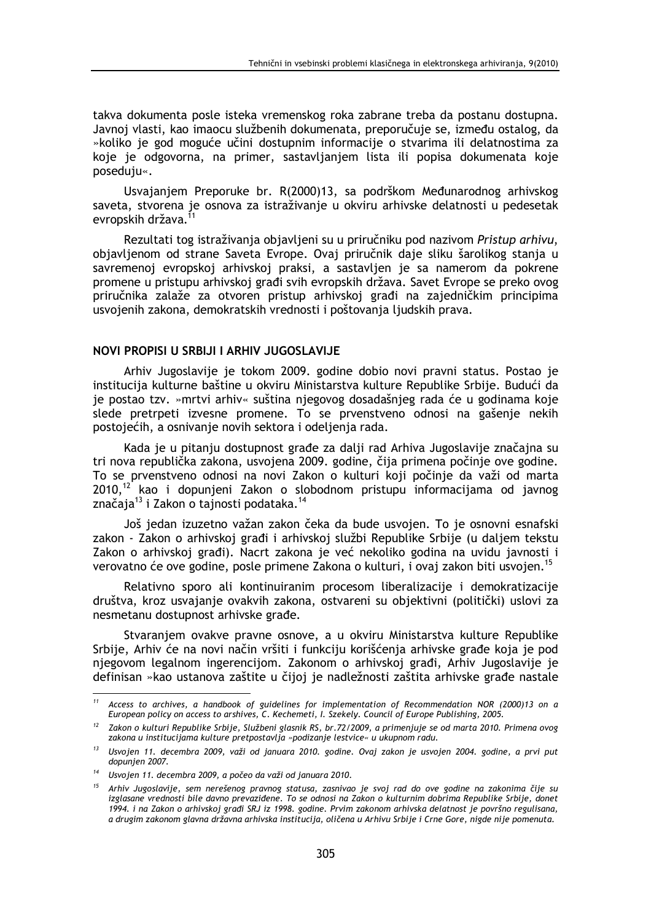takva dokumenta posle isteka vremenskog roka zabrane treba da postanu dostupna. Javnoj vlasti, kao imaocu službenih dokumenata, preporučuje se, između ostalog, da »koliko je god moguće učini dostupnim informacije o stvarima ili delatnostima za koje je odgovorna, na primer, sastavljanjem lista ili popisa dokumenata koje poseduju«.

Usvajanjem Preporuke br. R(2000)13, sa podrškom Međunarodnog arhivskog saveta, stvorena je osnova za istraživanje u okviru arhivske delatnosti u pedesetak evropskih država.<sup>1</sup>

Rezultati tog istraživanja objavljeni su u priručniku pod nazivom Pristup arhivu, objavljenom od strane Saveta Evrope. Ovaj priručnik daje sliku šarolikog stanja u savremenoj evropskoj arhivskoj praksi, a sastavljen je sa namerom da pokrene promene u pristupu arhivskoj građi svih evropskih država. Savet Evrope se preko ovog priručnika zalaže za otvoren pristup arhivskoj građi na zajedničkim principima usvojenih zakona, demokratskih vrednosti i poštovanja ljudskih prava.

## NOVI PROPISI U SRBIJI I ARHIV JUGOSLAVIJE

Arhiv Jugoslavije je tokom 2009. godine dobio novi pravni status. Postao je institucija kulturne baštine u okviru Ministarstva kulture Republike Srbije. Budući da je postao tzv. »mrtvi arhiv« suština njegovog dosadašnjeg rada će u godinama koje slede pretrpeti izvesne promene. To se prvenstveno odnosi na gašenie nekih postojećih, a osnivanje novih sektora i odeljenja rada.

Kada je u pitanju dostupnost građe za dalji rad Arhiva Jugoslavije značajna su tri nova republička zakona, usvojena 2009. godine, čija primena počinje ove godine. To se prvenstveno odnosi na novi Zakon o kulturi koji počinje da važi od marta 2010.<sup>12</sup> kao i dopunjeni Zakon o slobodnom pristupu informacijama od javnog značaja<sup>13</sup> i Zakon o tajnosti podataka.<sup>14</sup>

Još jedan izuzetno važan zakon čeka da bude usvojen. To je osnovni esnafski zakon - Zakon o arhivskoj građi i arhivskoj službi Republike Srbije (u daljem tekstu Zakon o arhivskoj građi). Nacrt zakona je već nekoliko godina na uvidu javnosti i verovatno će ove godine, posle primene Zakona o kulturi, i ovaj zakon biti usvojen.<sup>15</sup>

Relativno sporo ali kontinuiranim procesom liberalizacije i demokratizacije društva, kroz usvajanje ovakvih zakona, ostvareni su objektivni (politički) uslovi za nesmetanu dostupnost arhivske građe.

Stvaranjem ovakve pravne osnove, a u okviru Ministarstva kulture Republike Srbije, Arhiv će na novi način vršiti i funkciju korišćenja arhivske građe koja je pod njegovom legalnom ingerencijom. Zakonom o arhivskoj građi, Arhiv Jugoslavije je definisan »kao ustanova zaštite u čijoj je nadležnosti zaštita arhivske građe nastale

 $11\,$ Access to archives, a handbook of guidelines for implementation of Recommendation NOR (2000)13 on a European policy on access to arshives, C. Kechemeti, I. Szekely. Council of Europe Publishing, 2005.

<sup>&</sup>lt;sup>12</sup> Zakon o kulturi Republike Srbije, Službeni glasnik RS, br.72/2009, a primenjuje se od marta 2010. Primena ovog zakona u institucijama kulture pretpostavlja »podizanje lestvice« u ukupnom radu.

<sup>&</sup>lt;sup>13</sup> Usvoien 11. decembra 2009, važi od januara 2010. godine. Ovaj zakon je usvojen 2004. godine, a prvi put dopunien 2007.

<sup>&</sup>lt;sup>14</sup> Usvojen 11. decembra 2009, a počeo da važi od januara 2010.

<sup>&</sup>lt;sup>15</sup> Arhiv Jugoslavije, sem nerešenog pravnog statusa, zasnivao je svoj rad do ove godine na zakonima čije su izglasane vrednosti bile davno prevaziđene. To se odnosi na Zakon o kulturnim dobrima Republike Srbije, donet 1994. i na Zakon o arhivskoj gradi SRJ iz 1998. godine. Prvim zakonom arhivska delatnost je površno regulisana, a drugim zakonom glavna državna arhivska institucija, oličena u Arhivu Srbije i Crne Gore, nigde nije pomenuta.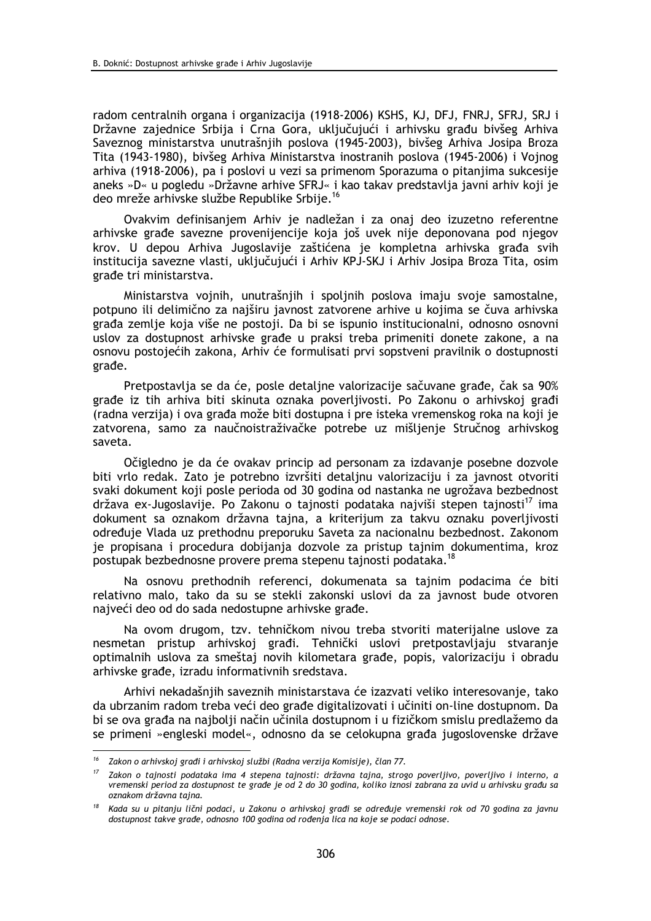radom centralnih organa i organizacija (1918-2006) KSHS, KJ, DFJ, FNRJ, SFRJ, SRJ i Državne zajednice Srbija i Crna Gora, uključujući i arhivsku građu bivšeg Arhiva Saveznog ministarstva unutrašnjih poslova (1945-2003), bivšeg Arhiva Josipa Broza Tita (1943-1980), bivšeg Arhiva Ministarstva inostranih poslova (1945-2006) i Vojnog arhiva (1918-2006), pa i poslovi u vezi sa primenom Sporazuma o pitanjima sukcesije aneks »D« u pogledu »Državne arhive SFRJ« i kao takav predstavlja javni arhiv koji je deo mreže arhivske službe Republike Srbije.<sup>16</sup>

Ovakvim definisanjem Arhiv je nadležan i za onaj deo izuzetno referentne arhivske građe savezne provenijencije koja još uvek nije deponovana pod njegov krov. U depou Arhiva Jugoslavije zaštićena je kompletna arhivska građa svih institucija savezne vlasti, uključujući i Arhiv KPJ-SKJ i Arhiv Josipa Broza Tita, osim građe tri ministarstva.

Ministarstva vojnih, unutrašnjih i spoljnih poslova imaju svoje samostalne, potpuno ili delimično za naiširu javnost zatvorene arhive u kojima se čuva arhivska građa zemlje koja više ne postoji. Da bi se ispunio institucionalni, odnosno osnovni uslov za dostupnost arhivske građe u praksi treba primeniti donete zakone, a na osnovu postojećih zakona, Arhiv će formulisati prvi sopstveni pravilnik o dostupnosti građe.

Pretpostavlja se da će, posle detaljne valorizacije sačuvane građe, čak sa 90% građe iz tih arhiva biti skinuta oznaka poverljivosti. Po Zakonu o arhivskoj građi (radna verzija) i ova građa može biti dostupna i pre isteka vremenskog roka na koji je zatvorena, samo za naučnoistraživačke potrebe uz mišljenje Stručnog arhivskog saveta.

Očigledno je da će ovakav princip ad personam za izdavanje posebne dozvole biti vrlo redak. Zato je potrebno izvršiti detalinu valorizaciju i za javnost otvoriti svaki dokument koji posle perioda od 30 godina od nastanka ne ugrožava bezbednost država ex-Jugoslavije. Po Zakonu o tajnosti podataka najviši stepen tajnosti<sup>17</sup> ima dokument sa oznakom državna tajna, a kriterijum za takvu oznaku poverljivosti određuje Vlada uz prethodnu preporuku Saveta za nacionalnu bezbednost. Zakonom je propisana i procedura dobijanja dozvole za pristup tajnim dokumentima, kroz postupak bezbednosne provere prema stepenu tajnosti podataka.<sup>18</sup>

Na osnovu prethodnih referenci, dokumenata sa tainim podacima će biti relativno malo, tako da su se stekli zakonski uslovi da za javnost bude otvoren najveći deo od do sada nedostupne arhivske građe.

Na ovom drugom, tzv. tehničkom nivou treba stvoriti materijalne uslove za nesmetan pristup arhivskoj građi. Tehnički uslovi pretpostavljaju stvaranje optimalnih uslova za smeštaj novih kilometara građe, popis, valorizaciju i obradu arhivske građe, izradu informativnih sredstava.

Arhivi nekadašnjih saveznih ministarstava će izazvati veliko interesovanje, tako da ubrzanim radom treba veći deo građe digitalizovati i učiniti on-line dostupnom. Da bi se ova građa na najbolji način učinila dostupnom i u fizičkom smislu predlažemo da se primeni »engleski model«, odnosno da se celokupna građa jugoslovenske države

<sup>&</sup>lt;sup>16</sup> Zakon o arhivskoj građi i arhivskoj službi (Radna verzija Komisije), član 77.

Zakon o tainosti podataka ima 4 stepena tajnosti: državna tajna, strogo poverljivo, poverljivo i interno, a  $17<sup>2</sup>$ vremenski period za dostupnost te građe je od 2 do 30 godina, koliko iznosi zabrana za uvid u arhivsku građu sa oznakom državna tajna.

 $18$ Kada su u pitanju lični podaci, u Zakonu o arhivskoj građi se određuje vremenski rok od 70 godina za javnu dostupnost takve građe, odnosno 100 godina od rođenja lica na koje se podaci odnose.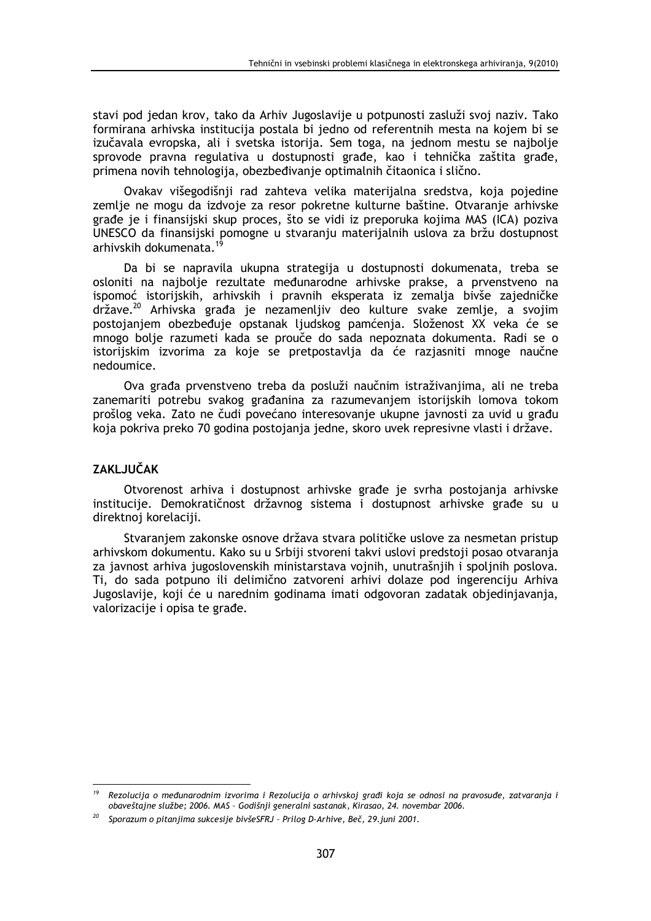stavi pod jedan krov, tako da Arhiv Jugoslavije u potpunosti zasluži svoj naziv. Tako formirana arhivska institucija postala bi jedno od referentnih mesta na kojem bi se izučavala evropska, ali i svetska istorija. Sem toga, na jednom mestu se najbolje sprovode pravna regulativa u dostupnosti građe, kao i tehnička zaštita građe, primena novih tehnologija, obezbeđivanje optimalnih čitaonica i slično.

Ovakav višegodišnji rad zahteva velika materijalna sredstva, koja pojedine zemlje ne mogu da izdvoje za resor pokretne kulturne baštine. Otvaranje arhivske građe je i finansijski skup proces, što se vidi iz preporuka kojima MAS (ICA) poziva UNESCO da finansijski pomogne u stvaranju materijalnih uslova za bržu dostupnost arhivskih dokumenata.

Da bi se napravila ukupna strategija u dostupnosti dokumenata, treba se osloniti na najbolje rezultate međunarodne arhivske prakse, a prvenstveno na ispomoć istorijskih, arhivskih i pravnih eksperata iz zemalja bivše zajedničke države.<sup>20</sup> Arhivska građa je nezamenljiv deo kulture svake zemlje, a svojim postojanjem obezbeđuje opstanak ljudskog pamćenja. Složenost XX veka će se mnogo bolje razumeti kada se prouče do sada nepoznata dokumenta. Radi se o istorijskim izvorima za koje se pretpostavlja da će razjasniti mnoge naučne nedoumice.

Ova građa prvenstveno treba da posluži naučnim istraživanjima, ali ne treba zanemariti potrebu svakog građanina za razumevanjem istorijskih lomova tokom prošlog veka. Zato ne čudi povećano interesovanje ukupne javnosti za uvid u građu koja pokriva preko 70 godina postojanja jedne, skoro uvek represivne vlasti i države.

# **ZAKLJUČAK**

Otvorenost arhiva i dostupnost arhivske građe je svrha postojanja arhivske institucije. Demokratičnost državnog sistema i dostupnost arhivske građe su u direktnoj korelaciji.

Stvaranjem zakonske osnove država stvara političke uslove za nesmetan pristup arhivskom dokumentu. Kako su u Srbiji stvoreni takvi uslovi predstoji posao otvaranja za javnost arhiva jugoslovenskih ministarstava vojnih, unutrašnjih i spoljnih poslova. Ti, do sada potpuno ili delimično zatvoreni arhivi dolaze pod ingerenciju Arhiva Jugoslavije, koji će u narednim godinama imati odgovoran zadatak objedinjavanja, valorizacije i opisa te građe.

Rezolucija o međunarodnim izvorima i Rezolucija o arhivskoj građi koja se odnosi na pravosuđe, zatvaranja i obaveštajne službe; 2006. MAS - Godišnji generalni sastanak, Kirasao, 24. novembar 2006.

Sporazum o pitanjima sukcesije bivšeSFRJ - Prilog D-Arhive, Beč, 29. juni 2001.